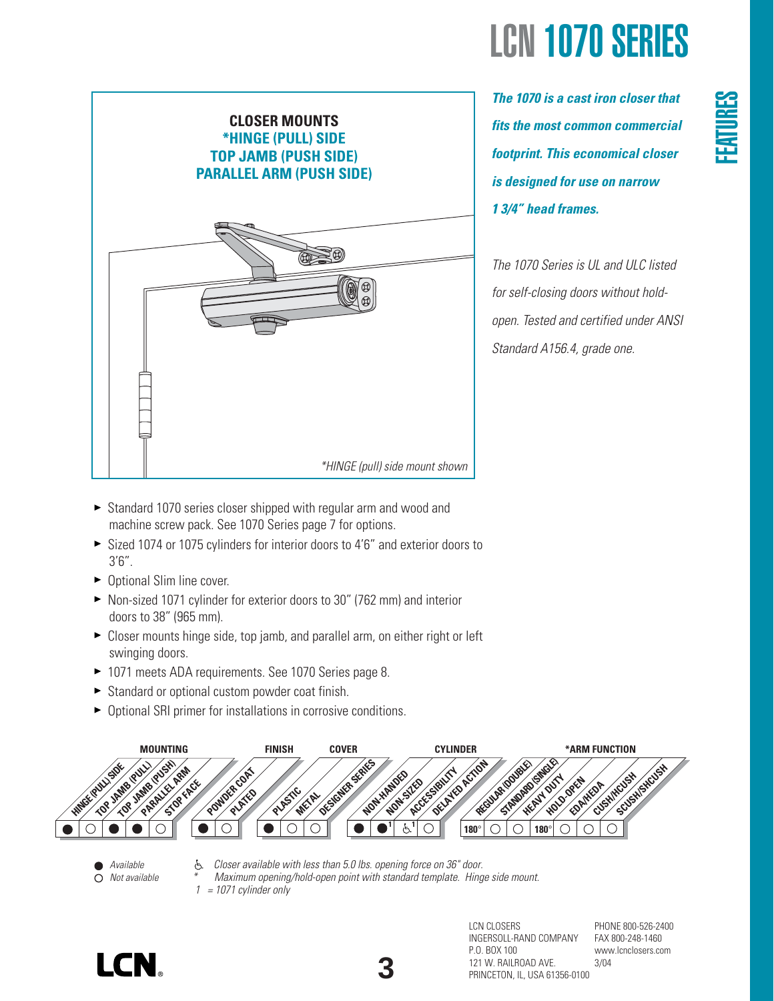

*The 1070 is a cast iron closer that fits the most common commercial footprint. This economical closer is designed for use on narrow 1 3/4" head frames.* 

*The 1070 Series is UL and ULC listed for self-closing doors without holdopen. Tested and certified under ANSI Standard A156.4, grade one.*

- ► Standard 1070 series closer shipped with regular arm and wood and machine screw pack. See 1070 Series page 7 for options.
- Sized 1074 or 1075 cylinders for interior doors to 4'6" and exterior doors to 3'6".
- ► Optional Slim line cover.
- ▶ Non-sized 1071 cylinder for exterior doors to 30" (762 mm) and interior doors to 38" (965 mm).
- ▶ Closer mounts hinge side, top jamb, and parallel arm, on either right or left swinging doors.
- ▶ 1071 meets ADA requirements. See 1070 Series page 8.
- Standard or optional custom powder coat finish.
- Optional SRI primer for installations in corrosive conditions.



- *Available Not available*
- *Closer available with less than 5.0 lbs. opening force on 36" door.* È. *\* Maximum opening/hold-open point with standard template. Hinge side mount. 1 = 1071 cylinder only*

**3**





PHONE 800-526-2400 FAX 800-248-1460 www.lcnclosers.com 3/04

**FEATURES**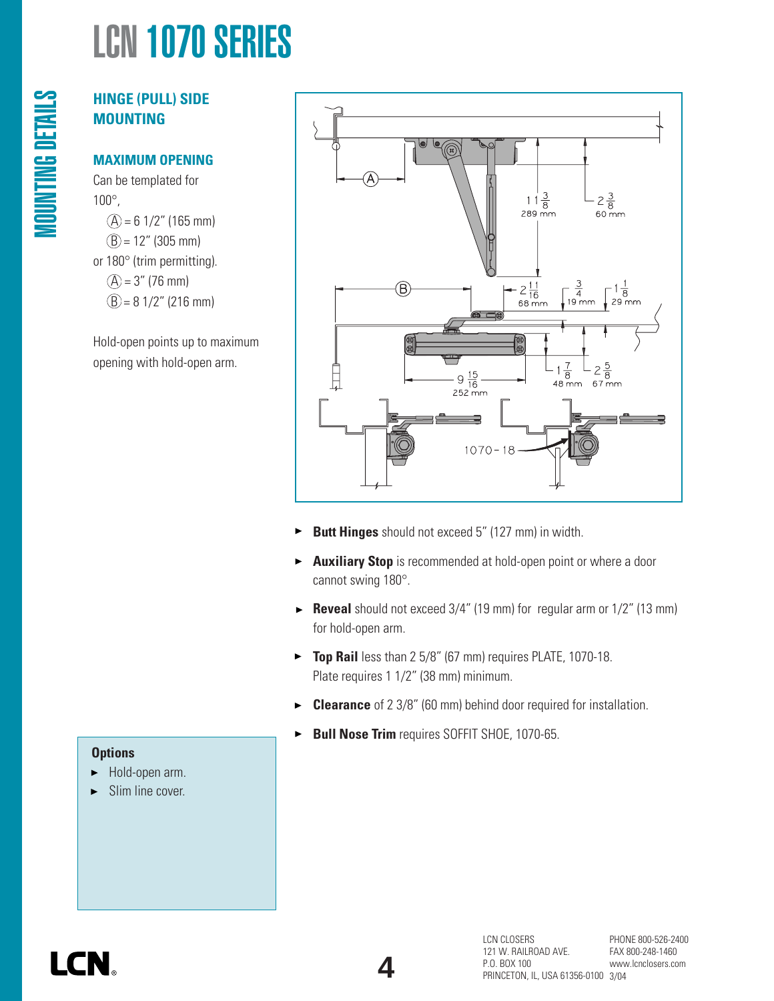# **HINGE (PULL) SIDE MOUNTING**

#### **MAXIMUM OPENING**

Can be templated for 100°,  $(A) = 6$  1/2" (165 mm)  $(B) = 12''$  (305 mm) or 180° (trim permitting).  $(A) = 3''$  (76 mm)  $(B) = 8$  1/2" (216 mm)

Hold-open points up to maximum opening with hold-open arm.



- $\blacktriangleright$ **Butt Hinges** should not exceed 5" (127 mm) in width.
- **Auxiliary Stop** is recommended at hold-open point or where a door  $\blacktriangleright$ cannot swing 180°.
- **Reveal** should not exceed 3/4" (19 mm) for regular arm or 1/2" (13 mm) for hold-open arm.
- **Top Rail** less than 2 5/8" (67 mm) requires PLATE, 1070-18. Plate requires 1 1/2" (38 mm) minimum.
- **Clearance** of 2 3/8" (60 mm) behind door required for installation.  $\blacktriangleright$
- **Bull Nose Trim** requires SOFFIT SHOE, 1070-65.  $\blacktriangleright$

#### **Options**

- Hold-open arm.
- Slim line cover.



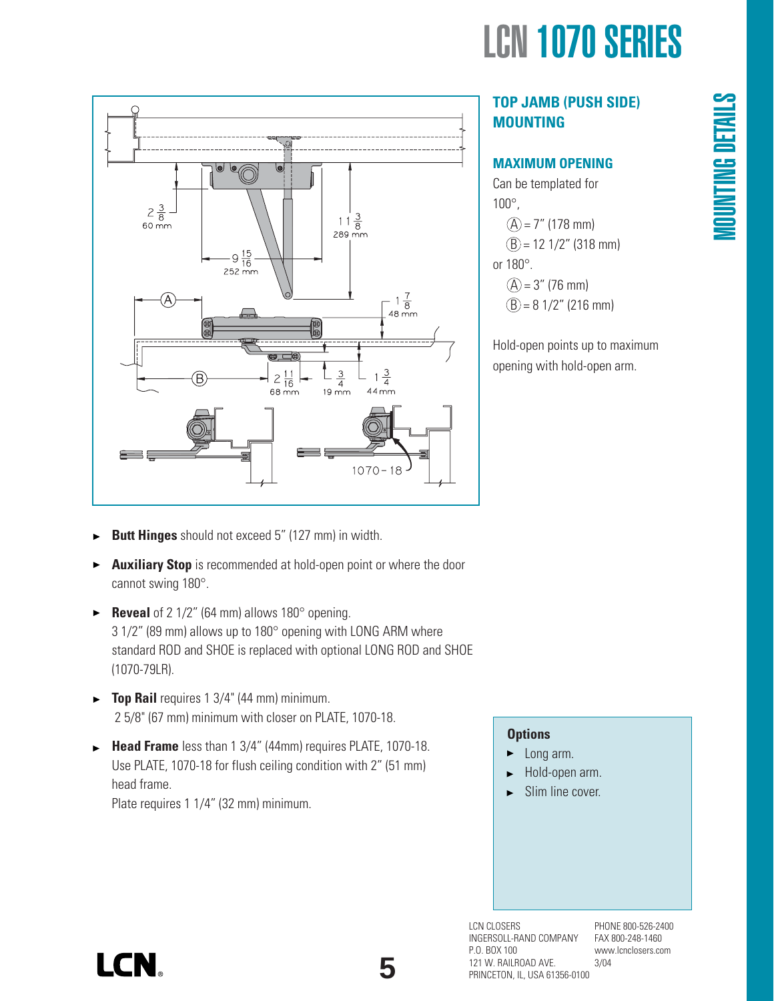

# **TOP JAMB (PUSH SIDE) MOUNTING**

#### **MAXIMUM OPENING**

Can be templated for 100°,  $(A) = 7''$  (178 mm)  $(B) = 12$  1/2" (318 mm) or 180°.  $(A) = 3''$  (76 mm)  $(B) = 8$  1/2" (216 mm)

Hold-open points up to maximum opening with hold-open arm.

- $2\frac{3}{8}$ -<br>60 mm  $\frac{11\frac{3}{8}}{289 \text{ mm}}$  $9\frac{15}{16}$  $252 \, \text{mm}$  $-1\frac{7}{8}$ <br>48 mm  $\overline{\mathfrak{o}}$  a  $\frac{2}{16}$  $\frac{3}{4}$  $1\frac{3}{4}$  $44 \overline{mm}$  $68<sub>mm</sub>$  $19 \text{ mm}$  $1070 - 18$
- **Butt Hinges** should not exceed 5" (127 mm) in width. ь
- **Auxiliary Stop** is recommended at hold-open point or where the door  $\blacktriangleright$ cannot swing 180°.
- **Reveal** of 2 1/2" (64 mm) allows 180° opening. 3 1/2" (89 mm) allows up to 180° opening with LONG ARM where standard ROD and SHOE is replaced with optional LONG ROD and SHOE (1070-79LR).
- **Top Rail** requires 1 3/4" (44 mm) minimum. 2 5/8" (67 mm) minimum with closer on PLATE, 1070-18.
- **Head Frame** less than 1 3/4" (44mm) requires PLATE, 1070-18. Use PLATE, 1070-18 for flush ceiling condition with 2" (51 mm) head frame. Plate requires 1 1/4" (32 mm) minimum.

#### **Options**

- Long arm. ►
- Hold-open arm.
- Slim line cover.

LCN CLOSERS INGERSOLL-RAND COMPANY P.O. BOX 100 121 W. RAILROAD AVE. PRINCETON, IL, USA 61356-0100

PHONE 800-526-2400 FAX 800-248-1460 www.lcnclosers.com 3/04

# LCN.

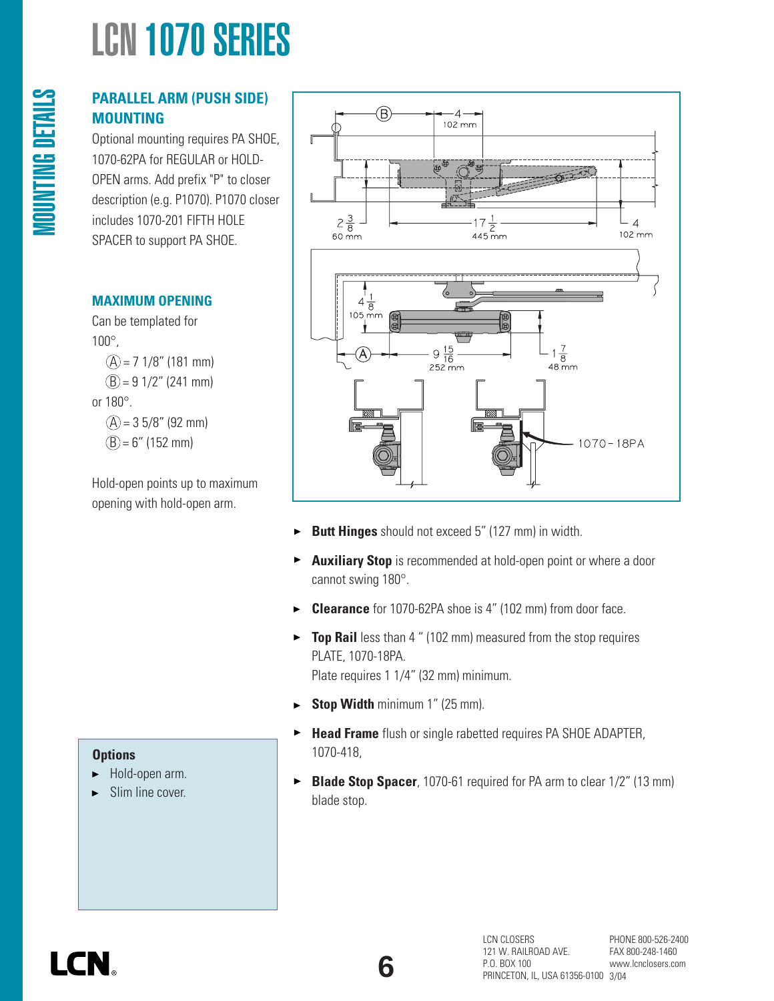# **PARALLEL ARM (PUSH SIDE) MOUNTING**

Optional mounting requires PA SHOE, 1070-62PA for REGULAR or HOLD-OPEN arms. Add prefix "P" to closer description (e.g. P1070). P1070 closer includes 1070-201 FIFTH HOLE SPACER to support PA SHOE.

## **MAXIMUM OPENING**

MOUNTING DETAILS

**MOUNTING DETAILS** 

Can be templated for 100°,  $(A) = 71/8$ " (181 mm)  $(B) = 91/2$ " (241 mm) or 180°.  $(A) = 35/8"$  (92 mm)  $(B) = 6"$  (152 mm)

Hold-open points up to maximum opening with hold-open arm.



- **Butt Hinges** should not exceed 5" (127 mm) in width. ▶
- **Auxiliary Stop** is recommended at hold-open point or where a door  $\blacktriangleright$ cannot swing 180°.
- **Clearance** for 1070-62PA shoe is 4" (102 mm) from door face. ь
- **Top Rail** less than 4 " (102 mm) measured from the stop requires  $\blacktriangleright$ PLATE, 1070-18PA.

Plate requires 1 1/4" (32 mm) minimum.

- **Stop Width** minimum 1" (25 mm).  $\blacktriangleright$
- **Head Frame** flush or single rabetted requires PA SHOE ADAPTER,  $\blacktriangleright$ 1070-418,
- **Blade Stop Spacer**, 1070-61 required for PA arm to clear 1/2" (13 mm)  $\blacktriangleright$ blade stop.
- Hold-open arm. ▶
- Slim line cover. Ы

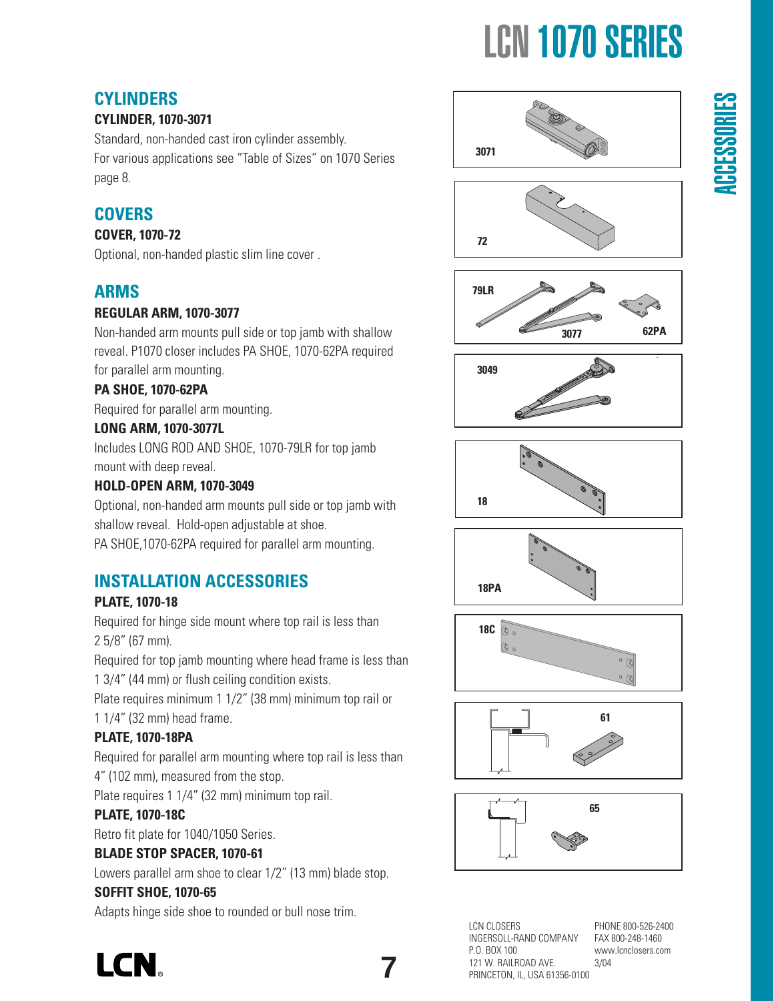# **CYLINDERS**

## **CYLINDER, 1070-3071**

Standard, non-handed cast iron cylinder assembly. For various applications see "Table of Sizes" on 1070 Series page 8.

# **COVERS**

#### **COVER, 1070-72**

Optional, non-handed plastic slim line cover .

# **ARMS**

#### **REGULAR ARM, 1070-3077**

Non-handed arm mounts pull side or top jamb with shallow reveal. P1070 closer includes PA SHOE, 1070-62PA required for parallel arm mounting.

#### **PA SHOE, 1070-62PA**

Required for parallel arm mounting.

#### **LONG ARM, 1070-3077L**

Includes LONG ROD AND SHOE, 1070-79LR for top jamb mount with deep reveal.

#### **HOLD-OPEN ARM, 1070-3049**

Optional, non-handed arm mounts pull side or top jamb with shallow reveal. Hold-open adjustable at shoe.

PA SHOE,1070-62PA required for parallel arm mounting.

# **INSTALLATION ACCESSORIES**

## **PLATE, 1070-18**

Required for hinge side mount where top rail is less than 2 5/8" (67 mm).

Required for top jamb mounting where head frame is less than 1 3/4" (44 mm) or flush ceiling condition exists.

Plate requires minimum 1 1/2" (38 mm) minimum top rail or 1 1/4" (32 mm) head frame.

## **PLATE, 1070-18PA**

Required for parallel arm mounting where top rail is less than 4" (102 mm), measured from the stop.

Plate requires 1 1/4" (32 mm) minimum top rail.

## **PLATE, 1070-18C**

Retro fit plate for 1040/1050 Series.

## **BLADE STOP SPACER, 1070-61**

Lowers parallel arm shoe to clear 1/2" (13 mm) blade stop.

#### **SOFFIT SHOE, 1070-65**

Adapts hinge side shoe to rounded or bull nose trim.





















LCN CLOSERS INGERSOLL-RAND COMPANY P.O. BOX 100 121 W. RAILROAD AVE. PRINCETON, IL, USA 61356-0100

**7**

PHONE 800-526-2400 FAX 800-248-1460 www.lcnclosers.com 3/04